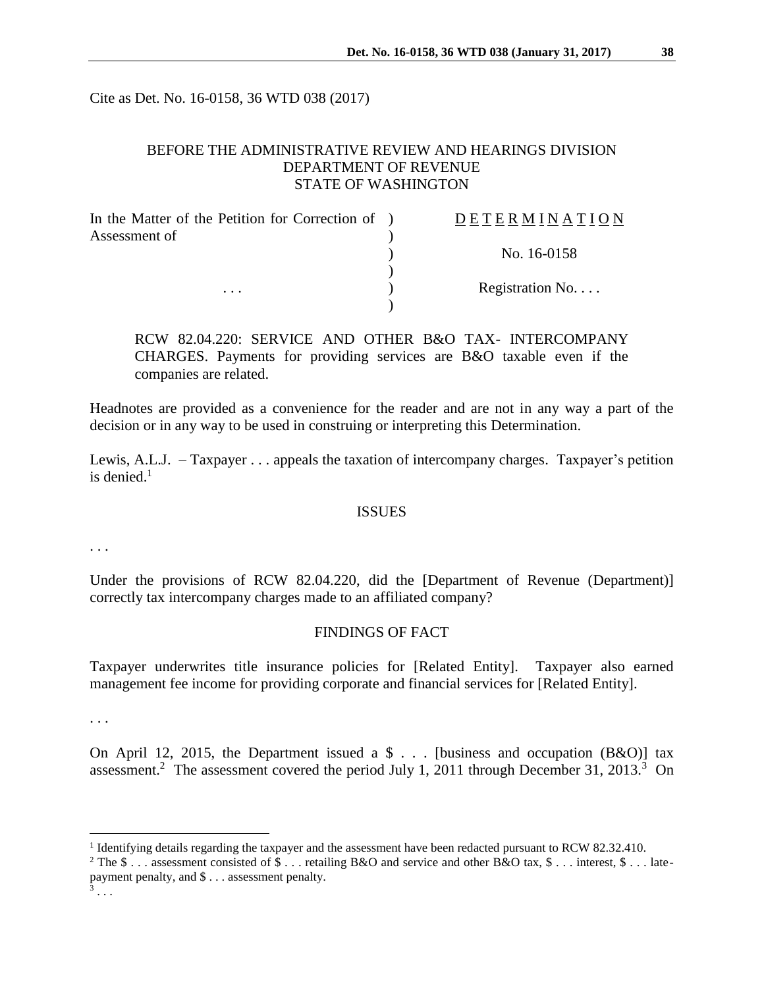Cite as Det. No. 16-0158, 36 WTD 038 (2017)

### BEFORE THE ADMINISTRATIVE REVIEW AND HEARINGS DIVISION DEPARTMENT OF REVENUE STATE OF WASHINGTON

| In the Matter of the Petition for Correction of ) | DETERMINATION    |
|---------------------------------------------------|------------------|
| Assessment of                                     |                  |
|                                                   | No. 16-0158      |
|                                                   |                  |
| $\cdots$                                          | Registration No. |
|                                                   |                  |

RCW 82.04.220: SERVICE AND OTHER B&O TAX- INTERCOMPANY CHARGES. Payments for providing services are B&O taxable even if the companies are related.

Headnotes are provided as a convenience for the reader and are not in any way a part of the decision or in any way to be used in construing or interpreting this Determination.

Lewis, A.L.J. – Taxpayer . . . appeals the taxation of intercompany charges. Taxpayer's petition is denied. $1$ 

#### **ISSUES**

. . .

Under the provisions of RCW 82.04.220, did the [Department of Revenue (Department)] correctly tax intercompany charges made to an affiliated company?

### FINDINGS OF FACT

Taxpayer underwrites title insurance policies for [Related Entity]. Taxpayer also earned management fee income for providing corporate and financial services for [Related Entity].

. . .

On April 12, 2015, the Department issued a  $\frac{1}{2}$ ... [business and occupation (B&O)] tax assessment.<sup>2</sup> The assessment covered the period July 1, 2011 through December 31, 2013.<sup>3</sup> On

 $\overline{a}$ 

<sup>&</sup>lt;sup>1</sup> Identifying details regarding the taxpayer and the assessment have been redacted pursuant to RCW 82.32.410.

<sup>&</sup>lt;sup>2</sup> The  $\$\dots$  assessment consisted of  $\$\dots$  retailing B&O and service and other B&O tax,  $\$\dots$  interest,  $\$\dots$  latepayment penalty, and \$ . . . assessment penalty.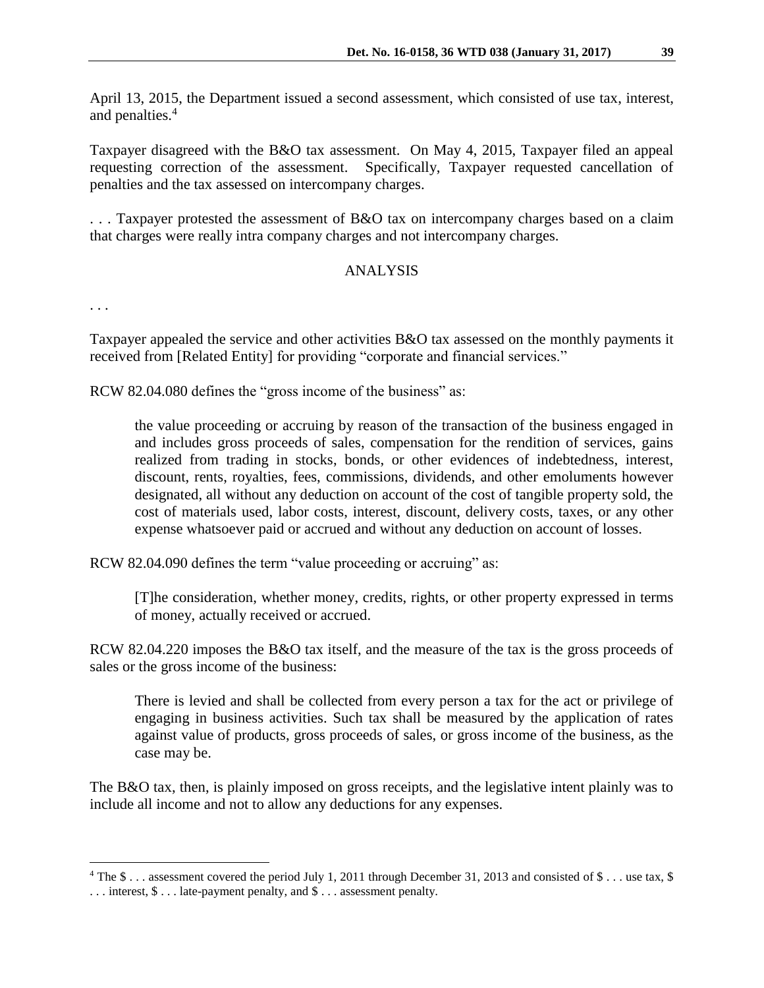April 13, 2015, the Department issued a second assessment, which consisted of use tax, interest, and penalties. 4

Taxpayer disagreed with the B&O tax assessment. On May 4, 2015, Taxpayer filed an appeal requesting correction of the assessment. Specifically, Taxpayer requested cancellation of penalties and the tax assessed on intercompany charges.

. . . Taxpayer protested the assessment of B&O tax on intercompany charges based on a claim that charges were really intra company charges and not intercompany charges.

# ANALYSIS

. . .

 $\overline{a}$ 

Taxpayer appealed the service and other activities B&O tax assessed on the monthly payments it received from [Related Entity] for providing "corporate and financial services."

RCW 82.04.080 defines the "gross income of the business" as:

the value proceeding or accruing by reason of the transaction of the business engaged in and includes gross proceeds of sales, compensation for the rendition of services, gains realized from trading in stocks, bonds, or other evidences of indebtedness, interest, discount, rents, royalties, fees, commissions, dividends, and other emoluments however designated, all without any deduction on account of the cost of tangible property sold, the cost of materials used, labor costs, interest, discount, delivery costs, taxes, or any other expense whatsoever paid or accrued and without any deduction on account of losses.

RCW 82.04.090 defines the term "value proceeding or accruing" as:

[T]he consideration, whether money, credits, rights, or other property expressed in terms of money, actually received or accrued.

RCW 82.04.220 imposes the B&O tax itself, and the measure of the tax is the gross proceeds of sales or the gross income of the business:

There is levied and shall be collected from every person a tax for the act or privilege of engaging in business activities. Such tax shall be measured by the application of rates against value of products, gross proceeds of sales, or gross income of the business, as the case may be.

The B&O tax, then, is plainly imposed on gross receipts, and the legislative intent plainly was to include all income and not to allow any deductions for any expenses.

<sup>&</sup>lt;sup>4</sup> The \$ . . . assessment covered the period July 1, 2011 through December 31, 2013 and consisted of \$ . . . use tax, \$

<sup>. . .</sup> interest, \$ . . . late-payment penalty, and \$ . . . assessment penalty.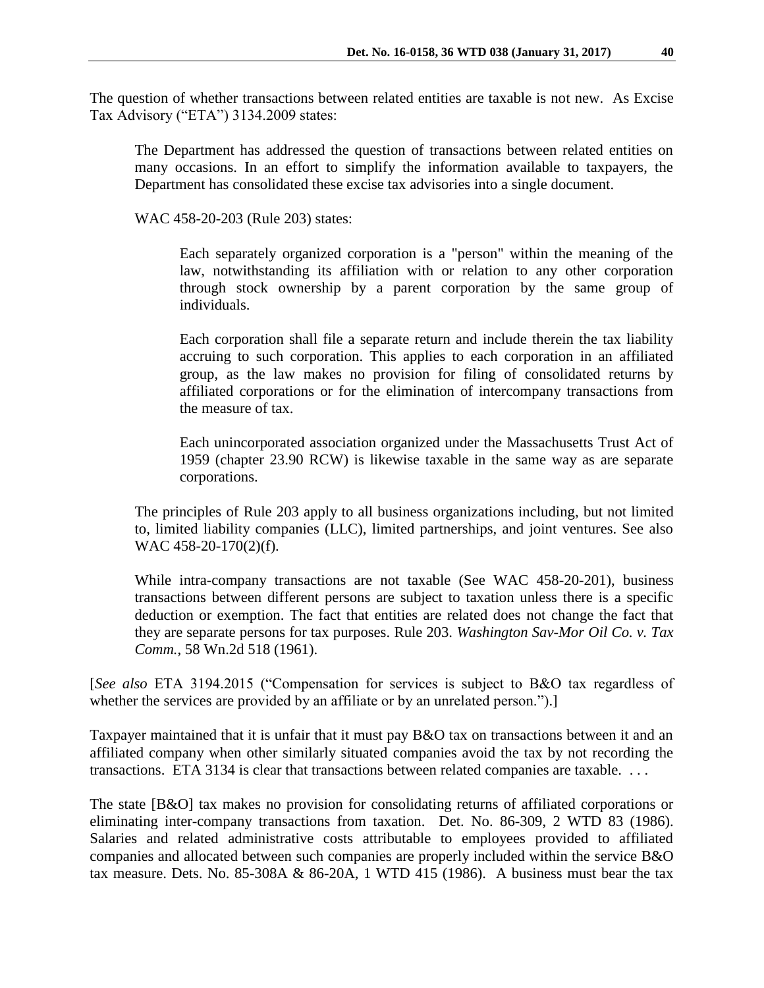The question of whether transactions between related entities are taxable is not new. As Excise Tax Advisory ("ETA") 3134.2009 states:

The Department has addressed the question of transactions between related entities on many occasions. In an effort to simplify the information available to taxpayers, the Department has consolidated these excise tax advisories into a single document.

WAC 458-20-203 (Rule 203) states:

Each separately organized corporation is a "person" within the meaning of the law, notwithstanding its affiliation with or relation to any other corporation through stock ownership by a parent corporation by the same group of individuals.

Each corporation shall file a separate return and include therein the tax liability accruing to such corporation. This applies to each corporation in an affiliated group, as the law makes no provision for filing of consolidated returns by affiliated corporations or for the elimination of intercompany transactions from the measure of tax.

Each unincorporated association organized under the Massachusetts Trust Act of 1959 (chapter 23.90 RCW) is likewise taxable in the same way as are separate corporations.

The principles of Rule 203 apply to all business organizations including, but not limited to, limited liability companies (LLC), limited partnerships, and joint ventures. See also WAC 458-20-170(2)(f).

While intra-company transactions are not taxable (See WAC 458-20-201), business transactions between different persons are subject to taxation unless there is a specific deduction or exemption. The fact that entities are related does not change the fact that they are separate persons for tax purposes. Rule 203. *Washington Sav-Mor Oil Co. v. Tax Comm.*, 58 Wn.2d 518 (1961).

[*See also* ETA 3194.2015 ("Compensation for services is subject to B&O tax regardless of whether the services are provided by an affiliate or by an unrelated person.").

Taxpayer maintained that it is unfair that it must pay B&O tax on transactions between it and an affiliated company when other similarly situated companies avoid the tax by not recording the transactions. ETA 3134 is clear that transactions between related companies are taxable. . . .

The state [B&O] tax makes no provision for consolidating returns of affiliated corporations or eliminating inter-company transactions from taxation. Det. No. 86-309, 2 WTD 83 (1986). Salaries and related administrative costs attributable to employees provided to affiliated companies and allocated between such companies are properly included within the service B&O tax measure. Dets. No. 85-308A  $&$  86-20A, 1 WTD 415 (1986). A business must bear the tax